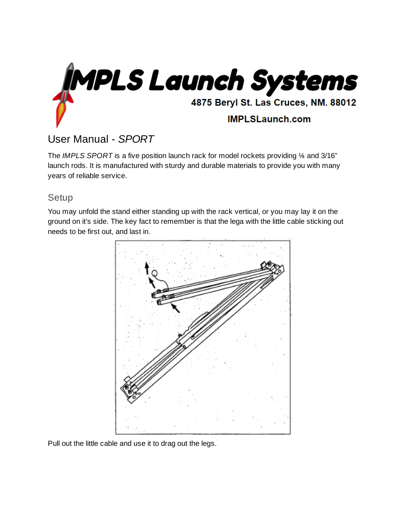

## User Manual - *SPORT*

The *IMPLS SPORT* is a five position launch rack for model rockets providing ⅛ and 3/16" launch rods. It is manufactured with sturdy and durable materials to provide you with many years of reliable service.

## Setup

You may unfold the stand either standing up with the rack vertical, or you may lay it on the ground on it's side. The key fact to remember is that the lega with the little cable sticking out needs to be first out, and last in.



Pull out the little cable and use it to drag out the legs.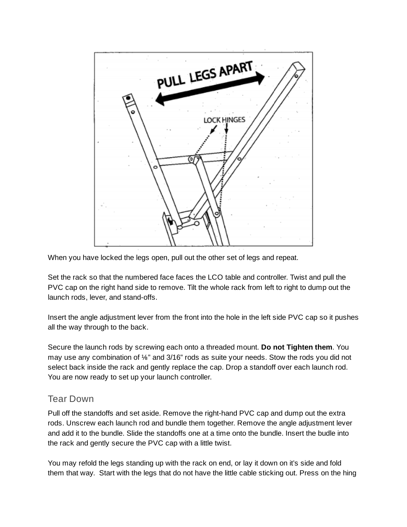

When you have locked the legs open, pull out the other set of legs and repeat.

Set the rack so that the numbered face faces the LCO table and controller. Twist and pull the PVC cap on the right hand side to remove. Tilt the whole rack from left to right to dump out the launch rods, lever, and stand-offs.

Insert the angle adjustment lever from the front into the hole in the left side PVC cap so it pushes all the way through to the back.

Secure the launch rods by screwing each onto a threaded mount. **Do not Tighten them**. You may use any combination of ⅛" and 3/16" rods as suite your needs. Stow the rods you did not select back inside the rack and gently replace the cap. Drop a standoff over each launch rod. You are now ready to set up your launch controller.

## Tear Down

Pull off the standoffs and set aside. Remove the right-hand PVC cap and dump out the extra rods. Unscrew each launch rod and bundle them together. Remove the angle adjustment lever and add it to the bundle. Slide the standoffs one at a time onto the bundle. Insert the budle into the rack and gently secure the PVC cap with a little twist.

You may refold the legs standing up with the rack on end, or lay it down on it's side and fold them that way. Start with the legs that do not have the little cable sticking out. Press on the hing